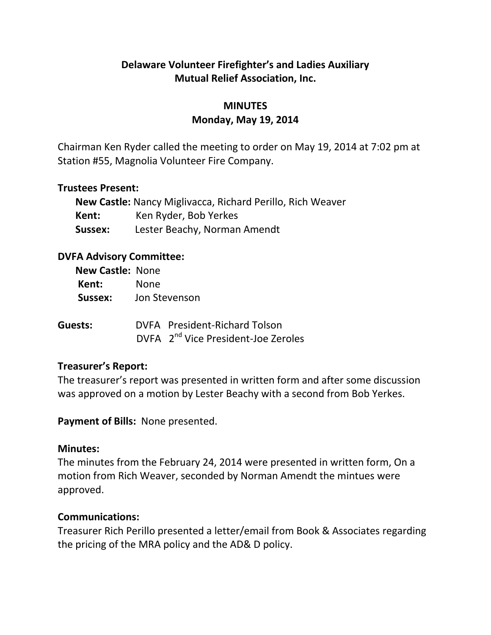# **Delaware Volunteer Firefighter's and Ladies Auxiliary Mutual Relief Association, Inc.**

# **MINUTES Monday, May 19, 2014**

Chairman Ken Ryder called the meeting to order on May 19, 2014 at 7:02 pm at Station #55, Magnolia Volunteer Fire Company.

### **Trustees Present:**

| New Castle: Nancy Miglivacca, Richard Perillo, Rich Weaver |                              |  |
|------------------------------------------------------------|------------------------------|--|
| Kent:                                                      | Ken Ryder, Bob Yerkes        |  |
| Sussex:                                                    | Lester Beachy, Norman Amendt |  |

## **DVFA Advisory Committee:**

| <b>New Castle: None</b> |               |                                                                                  |  |
|-------------------------|---------------|----------------------------------------------------------------------------------|--|
| Kent:                   | <b>None</b>   |                                                                                  |  |
| Sussex:                 | Jon Stevenson |                                                                                  |  |
| Guests:                 |               | DVFA President-Richard Tolson<br>DVFA 2 <sup>nd</sup> Vice President-Joe Zeroles |  |

## **Treasurer's Report:**

The treasurer's report was presented in written form and after some discussion was approved on a motion by Lester Beachy with a second from Bob Yerkes.

**Payment of Bills:** None presented.

#### **Minutes:**

The minutes from the February 24, 2014 were presented in written form, On a motion from Rich Weaver, seconded by Norman Amendt the mintues were approved.

#### **Communications:**

Treasurer Rich Perillo presented a letter/email from Book & Associates regarding the pricing of the MRA policy and the AD& D policy.